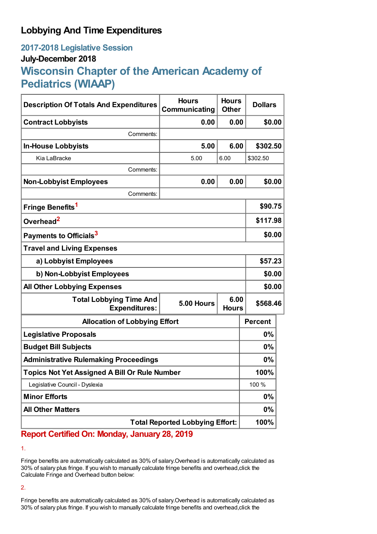## **Lobbying And Time Expenditures**

## **2017-2018 Legislative Session July-December 2018**

# **Wisconsin Chapter of the American Academy of Pediatrics (WIAAP)**

| <b>Description Of Totals And Expenditures</b>          | <b>Hours</b><br>Communicating | <b>Hours</b><br><b>Other</b> | <b>Dollars</b> |
|--------------------------------------------------------|-------------------------------|------------------------------|----------------|
| <b>Contract Lobbyists</b>                              | 0.00                          | 0.00                         | \$0.00         |
| Comments:                                              |                               |                              |                |
| <b>In-House Lobbyists</b>                              | 5.00                          | 6.00                         | \$302.50       |
| Kia LaBracke                                           | 5.00                          | 6.00                         | \$302.50       |
| Comments:                                              |                               |                              |                |
| <b>Non-Lobbyist Employees</b>                          | 0.00                          | 0.00                         | \$0.00         |
| Comments:                                              |                               |                              |                |
| Fringe Benefits <sup>1</sup>                           |                               |                              | \$90.75        |
| Overhead <sup>2</sup>                                  |                               |                              | \$117.98       |
| Payments to Officials <sup>3</sup>                     |                               |                              | \$0.00         |
| <b>Travel and Living Expenses</b>                      |                               |                              |                |
| a) Lobbyist Employees                                  |                               |                              | \$57.23        |
| b) Non-Lobbyist Employees                              |                               |                              | \$0.00         |
| <b>All Other Lobbying Expenses</b>                     |                               |                              | \$0.00         |
| <b>Total Lobbying Time And</b><br><b>Expenditures:</b> | 5.00 Hours                    | 6.00<br><b>Hours</b>         | \$568.46       |
| <b>Allocation of Lobbying Effort</b>                   |                               |                              | <b>Percent</b> |
| <b>Legislative Proposals</b>                           |                               |                              | 0%             |
| <b>Budget Bill Subjects</b>                            |                               |                              | $0\%$          |
| <b>Administrative Rulemaking Proceedings</b>           |                               |                              | 0%             |
| <b>Topics Not Yet Assigned A Bill Or Rule Number</b>   |                               |                              | 100%           |
| Legislative Council - Dyslexia                         |                               |                              | 100 %          |
| <b>Minor Efforts</b>                                   |                               |                              | 0%             |
| <b>All Other Matters</b>                               |                               |                              | 0%             |
| <b>Total Reported Lobbying Effort:</b>                 |                               |                              | 100%           |

### **Report Certified On: Monday, January 28, 2019**

1.

Fringe benefits are automatically calculated as 30% of salary.Overhead is automatically calculated as 30% of salary plus fringe. If you wish to manually calculate fringe benefits and overhead,click the Calculate Fringe and Overhead button below:

2.

Fringe benefits are automatically calculated as 30% of salary.Overhead is automatically calculated as 30% of salary plus fringe. If you wish to manually calculate fringe benefits and overhead,click the